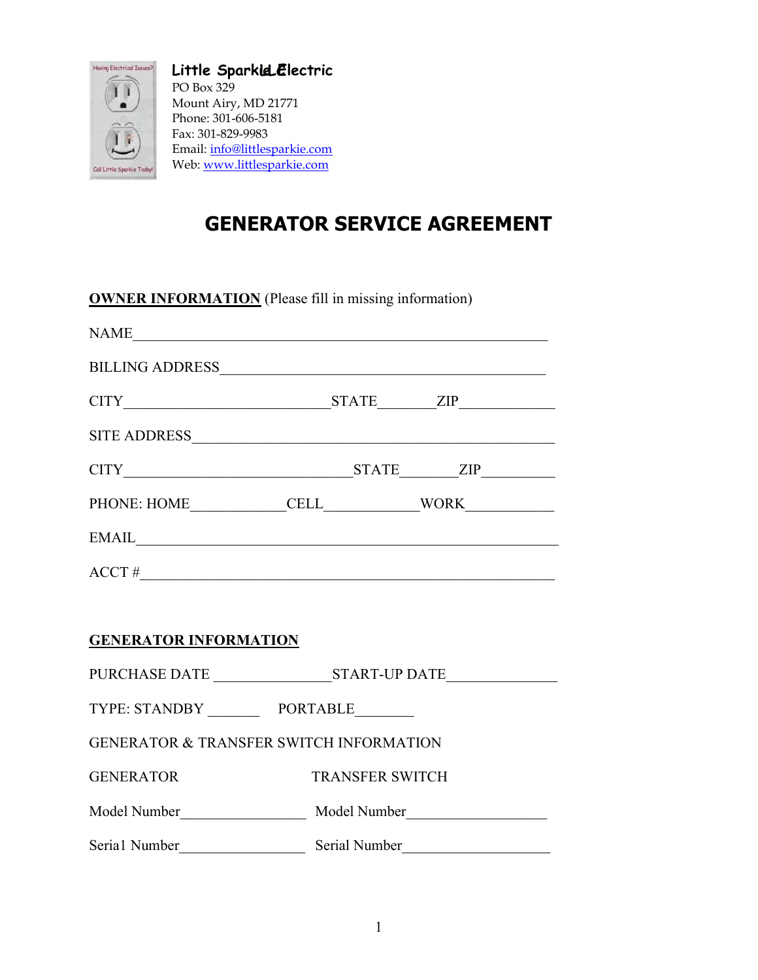

Little Sparkid Electric PO Box 329 Mount Airy, MD 21771 Phone: 301-606-5181 Fax: 301-829-9983 Email: info@littlesparkie.com Web: www.littlesparkie.com

# GENERATOR SERVICE AGREEMENT

OWNER INFORMATION (Please fill in missing information)

| NAME                                               |                        |  |  |  |  |  |
|----------------------------------------------------|------------------------|--|--|--|--|--|
|                                                    |                        |  |  |  |  |  |
|                                                    |                        |  |  |  |  |  |
|                                                    |                        |  |  |  |  |  |
|                                                    |                        |  |  |  |  |  |
|                                                    |                        |  |  |  |  |  |
| EMAIL                                              |                        |  |  |  |  |  |
| $\text{ACCT} \#$                                   |                        |  |  |  |  |  |
|                                                    |                        |  |  |  |  |  |
| <b>GENERATOR INFORMATION</b>                       |                        |  |  |  |  |  |
|                                                    |                        |  |  |  |  |  |
| TYPE: STANDBY PORTABLE                             |                        |  |  |  |  |  |
| <b>GENERATOR &amp; TRANSFER SWITCH INFORMATION</b> |                        |  |  |  |  |  |
| <b>GENERATOR</b>                                   | <b>TRANSFER SWITCH</b> |  |  |  |  |  |
|                                                    |                        |  |  |  |  |  |
| Serial Number                                      | Serial Number          |  |  |  |  |  |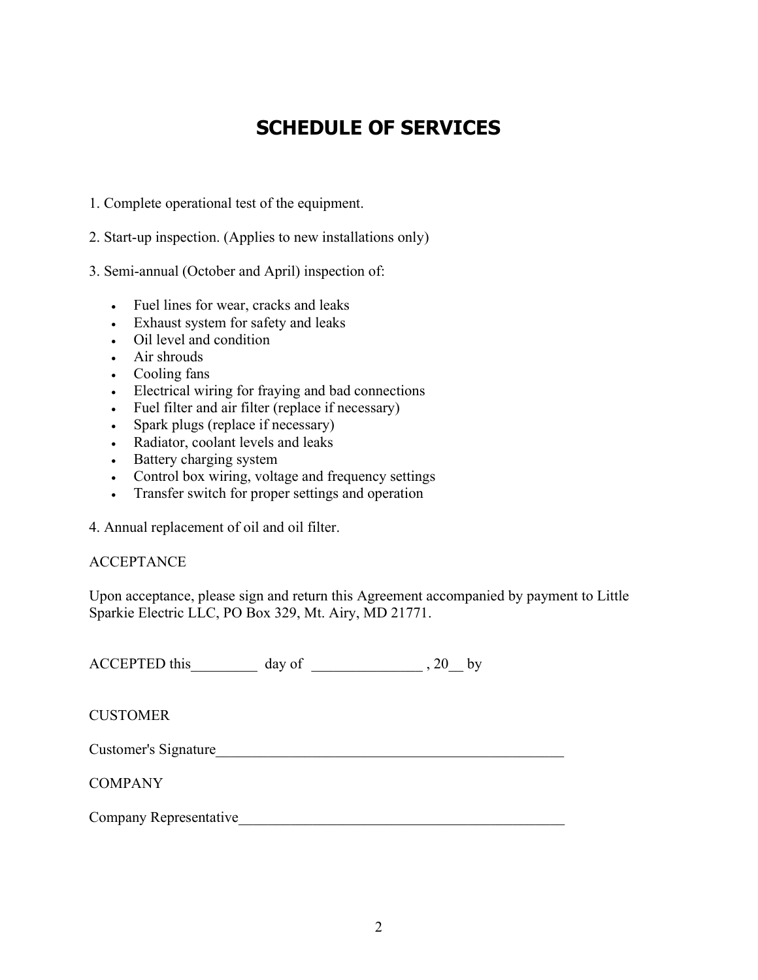## SCHEDULE OF SERVICES

- 1. Complete operational test of the equipment.
- 2. Start-up inspection. (Applies to new installations only)
- 3. Semi-annual (October and April) inspection of:
	- Fuel lines for wear, cracks and leaks
	- Exhaust system for safety and leaks
	- Oil level and condition
	- Air shrouds
	- Cooling fans
	- Electrical wiring for fraying and bad connections
	- Fuel filter and air filter (replace if necessary)
	- Spark plugs (replace if necessary)
	- Radiator, coolant levels and leaks
	- Battery charging system
	- Control box wiring, voltage and frequency settings
	- Transfer switch for proper settings and operation

4. Annual replacement of oil and oil filter.

#### **ACCEPTANCE**

Upon acceptance, please sign and return this Agreement accompanied by payment to Little Sparkie Electric LLC, PO Box 329, Mt. Airy, MD 21771.

ACCEPTED this\_\_\_\_\_\_\_\_\_ day of \_\_\_\_\_\_\_\_\_\_\_\_\_\_\_ , 20\_\_ by

**CUSTOMER** 

Customer's Signature\_\_\_\_\_\_\_\_\_\_\_\_\_\_\_\_\_\_\_\_\_\_\_\_\_\_\_\_\_\_\_\_\_\_\_\_\_\_\_\_\_\_\_\_\_\_\_

#### **COMPANY**

Company Representative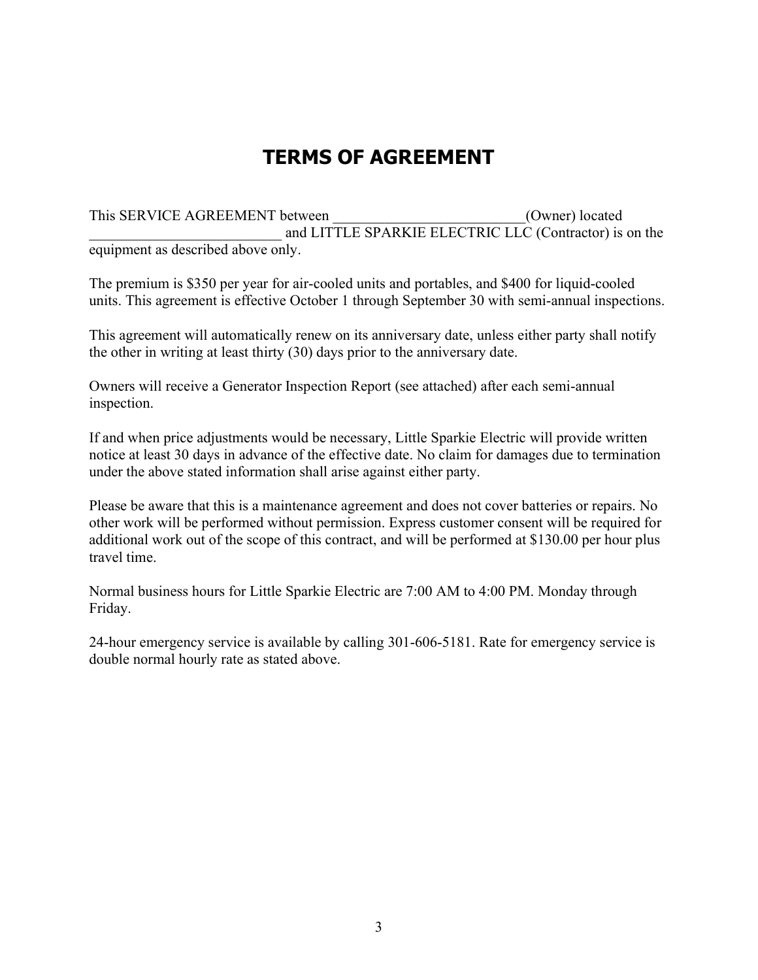## TERMS OF AGREEMENT

This SERVICE AGREEMENT between  $(Owner)$  located and LITTLE SPARKIE ELECTRIC LLC (Contractor) is on the equipment as described above only.

The premium is \$350 per year for air-cooled units and portables, and \$400 for liquid-cooled units. This agreement is effective October 1 through September 30 with semi-annual inspections.

This agreement will automatically renew on its anniversary date, unless either party shall notify the other in writing at least thirty (30) days prior to the anniversary date.

Owners will receive a Generator Inspection Report (see attached) after each semi-annual inspection.

If and when price adjustments would be necessary, Little Sparkie Electric will provide written notice at least 30 days in advance of the effective date. No claim for damages due to termination under the above stated information shall arise against either party.

Please be aware that this is a maintenance agreement and does not cover batteries or repairs. No other work will be performed without permission. Express customer consent will be required for additional work out of the scope of this contract, and will be performed at \$130.00 per hour plus travel time.

Normal business hours for Little Sparkie Electric are 7:00 AM to 4:00 PM. Monday through Friday.

24-hour emergency service is available by calling 301-606-5181. Rate for emergency service is double normal hourly rate as stated above.